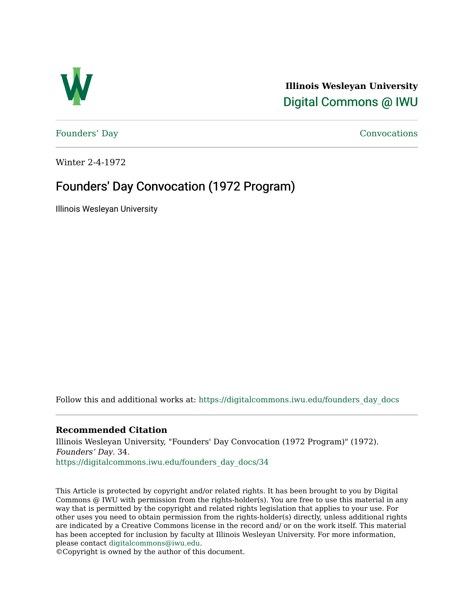

**Illinois Wesleyan University**  [Digital Commons @ IWU](https://digitalcommons.iwu.edu/) 

[Founders' Day](https://digitalcommons.iwu.edu/founders_day_docs) [Convocations](https://digitalcommons.iwu.edu/convocations_docs) 

Winter 2-4-1972

### Founders' Day Convocation (1972 Program)

Illinois Wesleyan University

Follow this and additional works at: [https://digitalcommons.iwu.edu/founders\\_day\\_docs](https://digitalcommons.iwu.edu/founders_day_docs?utm_source=digitalcommons.iwu.edu%2Ffounders_day_docs%2F34&utm_medium=PDF&utm_campaign=PDFCoverPages) 

#### **Recommended Citation**

Illinois Wesleyan University, "Founders' Day Convocation (1972 Program)" (1972). Founders' Day. 34. [https://digitalcommons.iwu.edu/founders\\_day\\_docs/34](https://digitalcommons.iwu.edu/founders_day_docs/34?utm_source=digitalcommons.iwu.edu%2Ffounders_day_docs%2F34&utm_medium=PDF&utm_campaign=PDFCoverPages)

This Article is protected by copyright and/or related rights. It has been brought to you by Digital Commons @ IWU with permission from the rights-holder(s). You are free to use this material in any way that is permitted by the copyright and related rights legislation that applies to your use. For other uses you need to obtain permission from the rights-holder(s) directly, unless additional rights are indicated by a Creative Commons license in the record and/ or on the work itself. This material has been accepted for inclusion by faculty at Illinois Wesleyan University. For more information, please contact [digitalcommons@iwu.edu.](mailto:digitalcommons@iwu.edu)

©Copyright is owned by the author of this document.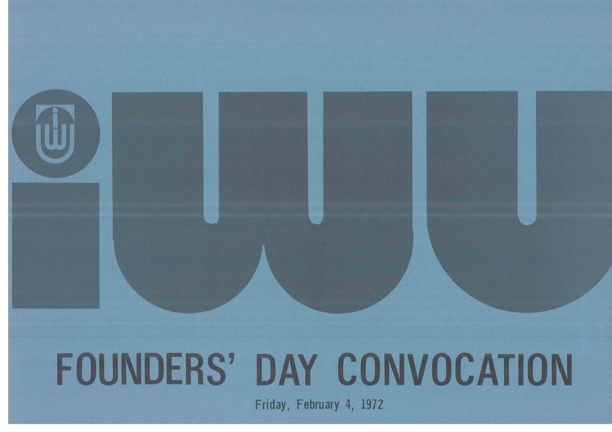# **FOUNDERS' DAY CONVOCATION**

Friday, February 4, 1972